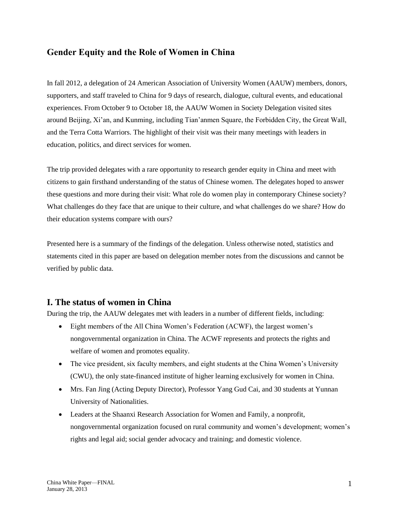## **Gender Equity and the Role of Women in China**

In fall 2012, a delegation of 24 American Association of University Women (AAUW) members, donors, supporters, and staff traveled to China for 9 days of research, dialogue, cultural events, and educational experiences. From October 9 to October 18, the AAUW Women in Society Delegation visited sites around Beijing, Xi'an, and Kunming, including Tian'anmen Square, the Forbidden City, the Great Wall, and the Terra Cotta Warriors. The highlight of their visit was their many meetings with leaders in education, politics, and direct services for women.

The trip provided delegates with a rare opportunity to research gender equity in China and meet with citizens to gain firsthand understanding of the status of Chinese women. The delegates hoped to answer these questions and more during their visit: What role do women play in contemporary Chinese society? What challenges do they face that are unique to their culture, and what challenges do we share? How do their education systems compare with ours?

Presented here is a summary of the findings of the delegation. Unless otherwise noted, statistics and statements cited in this paper are based on delegation member notes from the discussions and cannot be verified by public data.

### **I. The status of women in China**

During the trip, the AAUW delegates met with leaders in a number of different fields, including:

- Eight members of the All China Women's Federation (ACWF), the largest women's nongovernmental organization in China. The ACWF represents and protects the rights and welfare of women and promotes equality.
- The vice president, six faculty members, and eight students at the China Women's University (CWU), the only state-financed institute of higher learning exclusively for women in China.
- Mrs. Fan Jing (Acting Deputy Director), Professor Yang Gud Cai, and 30 students at Yunnan University of Nationalities.
- Leaders at the Shaanxi Research Association for Women and Family, a nonprofit, nongovernmental organization focused on rural community and women's development; women's rights and legal aid; social gender advocacy and training; and domestic violence.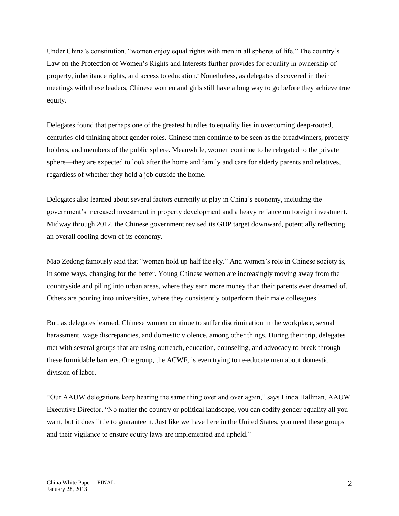Under China's constitution, "women enjoy equal rights with men in all spheres of life." The country's Law on the Protection of Women's Rights and Interests further provides for equality in ownership of property, inheritance rights, and access to education.<sup>*i*</sup> Nonetheless, as delegates discovered in their meetings with these leaders, Chinese women and girls still have a long way to go before they achieve true equity.

Delegates found that perhaps one of the greatest hurdles to equality lies in overcoming deep-rooted, centuries-old thinking about gender roles. Chinese men continue to be seen as the breadwinners, property holders, and members of the public sphere. Meanwhile, women continue to be relegated to the private sphere—they are expected to look after the home and family and care for elderly parents and relatives, regardless of whether they hold a job outside the home.

Delegates also learned about several factors currently at play in China's economy, including the government's increased investment in property development and a heavy reliance on foreign investment. Midway through 2012, the Chinese government revised its GDP target downward, potentially reflecting an overall cooling down of its economy.

Mao Zedong famously said that "women hold up half the sky." And women's role in Chinese society is, in some ways, changing for the better. Young Chinese women are increasingly moving away from the countryside and piling into urban areas, where they earn more money than their parents ever dreamed of. Others are pouring into universities, where they consistently outperform their male colleagues.<sup>ii</sup>

But, as delegates learned, Chinese women continue to suffer discrimination in the workplace, sexual harassment, wage discrepancies, and domestic violence, among other things. During their trip, delegates met with several groups that are using outreach, education, counseling, and advocacy to break through these formidable barriers. One group, the ACWF, is even trying to re-educate men about domestic division of labor.

"Our AAUW delegations keep hearing the same thing over and over again," says Linda Hallman, AAUW Executive Director. "No matter the country or political landscape, you can codify gender equality all you want, but it does little to guarantee it. Just like we have here in the United States, you need these groups and their vigilance to ensure equity laws are implemented and upheld."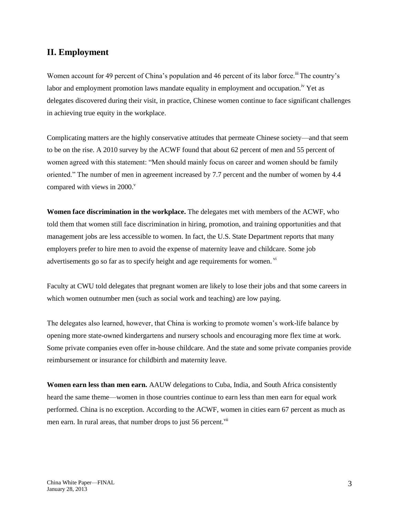## **II. Employment**

Women account for 49 percent of China's population and 46 percent of its labor force.<sup>iii</sup> The country's labor and employment promotion laws mandate equality in employment and occupation.<sup>iv</sup> Yet as delegates discovered during their visit, in practice, Chinese women continue to face significant challenges in achieving true equity in the workplace.

Complicating matters are the highly conservative attitudes that permeate Chinese society—and that seem to be on the rise. A 2010 survey by the ACWF found that about 62 percent of men and 55 percent of women agreed with this statement: "Men should mainly focus on career and women should be family oriented." The number of men in agreement increased by 7.7 percent and the number of women by 4.4 compared with views in  $2000$ .

**Women face discrimination in the workplace.** The delegates met with members of the ACWF, who told them that women still face discrimination in hiring, promotion, and training opportunities and that management jobs are less accessible to women. In fact, the U.S. State Department reports that many employers prefer to hire men to avoid the expense of maternity leave and childcare. Some job advertisements go so far as to specify height and age requirements for women. vi

Faculty at CWU told delegates that pregnant women are likely to lose their jobs and that some careers in which women outnumber men (such as social work and teaching) are low paying.

The delegates also learned, however, that China is working to promote women's work-life balance by opening more state-owned kindergartens and nursery schools and encouraging more flex time at work. Some private companies even offer in-house childcare. And the state and some private companies provide reimbursement or insurance for childbirth and maternity leave.

**Women earn less than men earn.** AAUW delegations to Cuba, India, and South Africa consistently heard the same theme—women in those countries continue to earn less than men earn for equal work performed. China is no exception. According to the ACWF, women in cities earn 67 percent as much as men earn. In rural areas, that number drops to just 56 percent.<sup>vii</sup>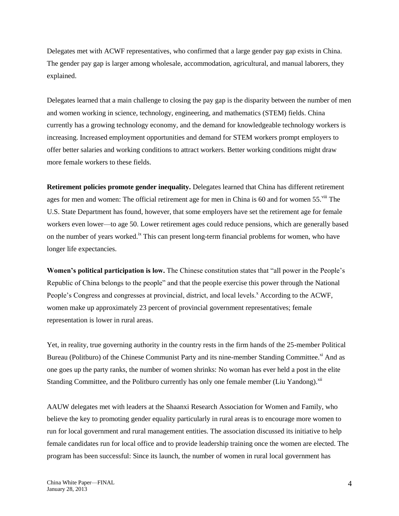Delegates met with ACWF representatives, who confirmed that a large gender pay gap exists in China. The gender pay gap is larger among wholesale, accommodation, agricultural, and manual laborers, they explained.

Delegates learned that a main challenge to closing the pay gap is the disparity between the number of men and women working in science, technology, engineering, and mathematics (STEM) fields. China currently has a growing technology economy, and the demand for knowledgeable technology workers is increasing. Increased employment opportunities and demand for STEM workers prompt employers to offer better salaries and working conditions to attract workers. Better working conditions might draw more female workers to these fields.

**Retirement policies promote gender inequality.** Delegates learned that China has different retirement ages for men and women: The official retirement age for men in China is 60 and for women 55.<sup>viii</sup> The U.S. State Department has found, however, that some employers have set the retirement age for female workers even lower—to age 50. Lower retirement ages could reduce pensions, which are generally based on the number of years worked.<sup>ix</sup> This can present long-term financial problems for women, who have longer life expectancies.

**Women's political participation is low.** The Chinese constitution states that "all power in the People's Republic of China belongs to the people" and that the people exercise this power through the National People's Congress and congresses at provincial, district, and local levels.<sup>x</sup> According to the ACWF, women make up approximately 23 percent of provincial government representatives; female representation is lower in rural areas.

Yet, in reality, true governing authority in the country rests in the firm hands of the 25-member Political Bureau (Politburo) of the Chinese Communist Party and its nine-member Standing Committee.<sup>xi</sup> And as one goes up the party ranks, the number of women shrinks: No woman has ever held a post in the elite Standing Committee, and the Politburo currently has only one female member (Liu Yandong).<sup>xii</sup>

AAUW delegates met with leaders at the Shaanxi Research Association for Women and Family, who believe the key to promoting gender equality particularly in rural areas is to encourage more women to run for local government and rural management entities. The association discussed its initiative to help female candidates run for local office and to provide leadership training once the women are elected. The program has been successful: Since its launch, the number of women in rural local government has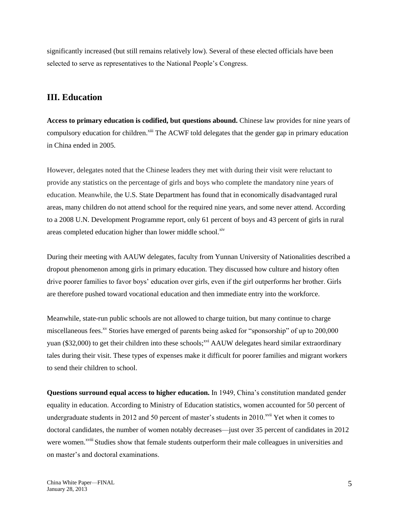significantly increased (but still remains relatively low). Several of these elected officials have been selected to serve as representatives to the National People's Congress.

# **III. Education**

**Access to primary education is codified, but questions abound.** Chinese law provides for nine years of compulsory education for children.<sup>xiii</sup> The ACWF told delegates that the gender gap in primary education in China ended in 2005.

However, delegates noted that the Chinese leaders they met with during their visit were reluctant to provide any statistics on the percentage of girls and boys who complete the mandatory nine years of education. Meanwhile, the U.S. State Department has found that in economically disadvantaged rural areas, many children do not attend school for the required nine years, and some never attend. According to a 2008 U.N. Development Programme report, only 61 percent of boys and 43 percent of girls in rural areas completed education higher than lower middle school.<sup>xiv</sup>

During their meeting with AAUW delegates, faculty from Yunnan University of Nationalities described a dropout phenomenon among girls in primary education. They discussed how culture and history often drive poorer families to favor boys' education over girls, even if the girl outperforms her brother. Girls are therefore pushed toward vocational education and then immediate entry into the workforce.

Meanwhile, state-run public schools are not allowed to charge tuition, but many continue to charge miscellaneous fees.<sup>xv</sup> Stories have emerged of parents being asked for "sponsorship" of up to  $200,000$ yuan (\$32,000) to get their children into these schools;<sup>xvi</sup> AAUW delegates heard similar extraordinary tales during their visit. These types of expenses make it difficult for poorer families and migrant workers to send their children to school.

**Questions surround equal access to higher education.** In 1949, China's constitution mandated gender equality in education. According to Ministry of Education statistics, women accounted for 50 percent of undergraduate students in 2012 and 50 percent of master's students in 2010.<sup>xvii</sup> Yet when it comes to doctoral candidates, the number of women notably decreases—just over 35 percent of candidates in 2012 were women.<sup>xviii</sup> Studies show that female students outperform their male colleagues in universities and on master's and doctoral examinations.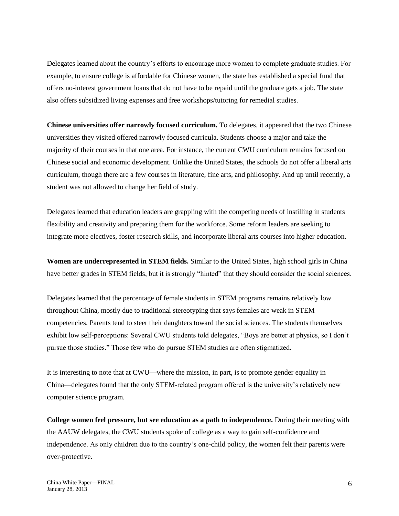Delegates learned about the country's efforts to encourage more women to complete graduate studies. For example, to ensure college is affordable for Chinese women, the state has established a special fund that offers no-interest government loans that do not have to be repaid until the graduate gets a job. The state also offers subsidized living expenses and free workshops/tutoring for remedial studies.

**Chinese universities offer narrowly focused curriculum.** To delegates, it appeared that the two Chinese universities they visited offered narrowly focused curricula. Students choose a major and take the majority of their courses in that one area. For instance, the current CWU curriculum remains focused on Chinese social and economic development. Unlike the United States, the schools do not offer a liberal arts curriculum, though there are a few courses in literature, fine arts, and philosophy. And up until recently, a student was not allowed to change her field of study.

Delegates learned that education leaders are grappling with the competing needs of instilling in students flexibility and creativity and preparing them for the workforce. Some reform leaders are seeking to integrate more electives, foster research skills, and incorporate liberal arts courses into higher education.

**Women are underrepresented in STEM fields.** Similar to the United States, high school girls in China have better grades in STEM fields, but it is strongly "hinted" that they should consider the social sciences.

Delegates learned that the percentage of female students in STEM programs remains relatively low throughout China, mostly due to traditional stereotyping that says females are weak in STEM competencies. Parents tend to steer their daughters toward the social sciences. The students themselves exhibit low self-perceptions: Several CWU students told delegates, "Boys are better at physics, so I don't pursue those studies." Those few who do pursue STEM studies are often stigmatized.

It is interesting to note that at CWU—where the mission, in part, is to promote gender equality in China—delegates found that the only STEM-related program offered is the university's relatively new computer science program.

**College women feel pressure, but see education as a path to independence.** During their meeting with the AAUW delegates, the CWU students spoke of college as a way to gain self-confidence and independence. As only children due to the country's one-child policy, the women felt their parents were over-protective.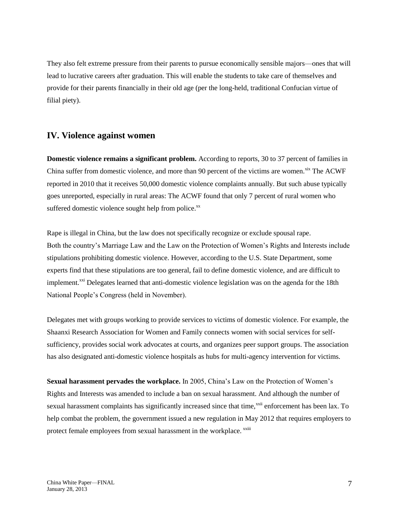They also felt extreme pressure from their parents to pursue economically sensible majors—ones that will lead to lucrative careers after graduation. This will enable the students to take care of themselves and provide for their parents financially in their old age (per the long-held, traditional Confucian virtue of filial piety).

### **IV. Violence against women**

**Domestic violence remains a significant problem.** According to reports, 30 to 37 percent of families in China suffer from domestic violence, and more than 90 percent of the victims are women.<sup>xix</sup> The ACWF reported in 2010 that it receives 50,000 domestic violence complaints annually. But such abuse typically goes unreported, especially in rural areas: The ACWF found that only 7 percent of rural women who suffered domestic violence sought help from police. $^{xx}$ 

Rape is illegal in China, but the law does not specifically recognize or exclude spousal rape. Both the country's Marriage Law and the Law on the Protection of Women's Rights and Interests include stipulations prohibiting domestic violence. However, according to the U.S. State Department, some experts find that these stipulations are too general, fail to define domestic violence, and are difficult to implement.<sup>xxi</sup> Delegates learned that anti-domestic violence legislation was on the agenda for the 18th National People's Congress (held in November).

Delegates met with groups working to provide services to victims of domestic violence. For example, the Shaanxi Research Association for Women and Family connects women with social services for selfsufficiency, provides social work advocates at courts, and organizes peer support groups. The association has also designated anti-domestic violence hospitals as hubs for multi-agency intervention for victims.

**Sexual harassment pervades the workplace.** In 2005, China's Law on the Protection of Women's Rights and Interests was amended to include a ban on sexual harassment. And although the number of sexual harassment complaints has significantly increased since that time, xxii enforcement has been lax. To help combat the problem, the government issued a new regulation in May 2012 that requires employers to protect female employees from sexual harassment in the workplace. <sup>xxiii</sup>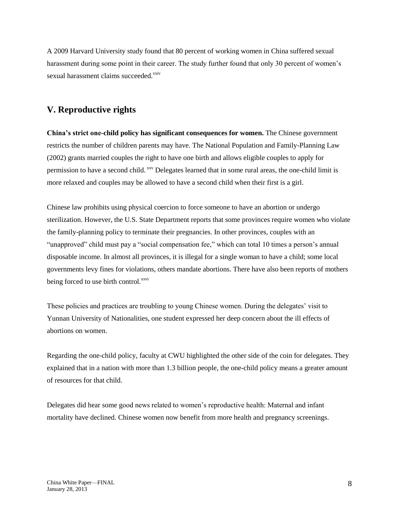A 2009 Harvard University study found that 80 percent of working women in China suffered sexual harassment during some point in their career. The study further found that only 30 percent of women's sexual harassment claims succeeded.<sup>xxiv</sup>

### **V. Reproductive rights**

**China's strict one-child policy has significant consequences for women.** The Chinese government restricts the number of children parents may have. The National Population and Family-Planning Law (2002) grants married couples the right to have one birth and allows eligible couples to apply for permission to have a second child.  $xxy$  Delegates learned that in some rural areas, the one-child limit is more relaxed and couples may be allowed to have a second child when their first is a girl.

Chinese law prohibits using physical coercion to force someone to have an abortion or undergo sterilization. However, the U.S. State Department reports that some provinces require women who violate the family-planning policy to terminate their pregnancies. In other provinces, couples with an "unapproved" child must pay a "social compensation fee," which can total 10 times a person's annual disposable income. In almost all provinces, it is illegal for a single woman to have a child; some local governments levy fines for violations, others mandate abortions. There have also been reports of mothers being forced to use birth control.<sup>xxvi</sup>

These policies and practices are troubling to young Chinese women. During the delegates' visit to Yunnan University of Nationalities, one student expressed her deep concern about the ill effects of abortions on women.

Regarding the one-child policy, faculty at CWU highlighted the other side of the coin for delegates. They explained that in a nation with more than 1.3 billion people, the one-child policy means a greater amount of resources for that child.

Delegates did hear some good news related to women's reproductive health: Maternal and infant mortality have declined. Chinese women now benefit from more health and pregnancy screenings.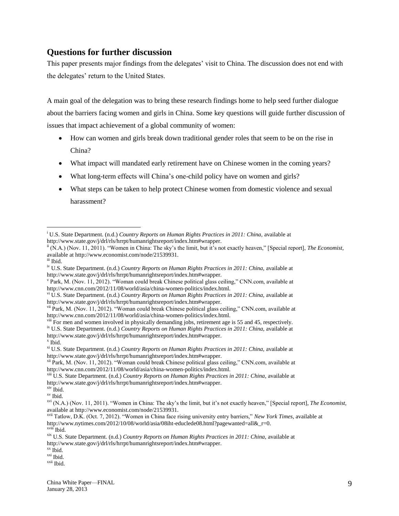#### **Questions for further discussion**

This paper presents major findings from the delegates' visit to China. The discussion does not end with the delegates' return to the United States.

A main goal of the delegation was to bring these research findings home to help seed further dialogue about the barriers facing women and girls in China. Some key questions will guide further discussion of issues that impact achievement of a global community of women:

- How can women and girls break down traditional gender roles that seem to be on the rise in China?
- What impact will mandated early retirement have on Chinese women in the coming years?
- What long-term effects will China's one-child policy have on women and girls?
- What steps can be taken to help protect Chinese women from domestic violence and sexual harassment?

 $\overline{a}$ 

<sup>&</sup>lt;sup>i</sup> U.S. State Department. (n.d.) *Country Reports on Human Rights Practices in 2011: China, available at* http://www.state.gov/j/drl/rls/hrrpt/humanrightsreport/index.htm#wrapper.

ii (N.A.) (Nov. 11, 2011). "Women in China: The sky's the limit, but it's not exactly heaven," [Special report], *The Economist,*  available at http://www.economist.com/node/21539931.

iii Ibid.

<sup>&</sup>lt;sup>iv</sup> U.S. State Department. (n.d.) *Country Reports on Human Rights Practices in 2011: China*, available at http://www.state.gov/j/drl/rls/hrrpt/humanrightsreport/index.htm#wrapper.

v Park, M. (Nov. 11, 2012). "Woman could break Chinese political glass ceiling," CNN.com, available at http://www.cnn.com/2012/11/08/world/asia/china-women-politics/index.html.

vi U.S. State Department. (n.d.) *Country Reports on Human Rights Practices in 2011: China,* available at http://www.state.gov/j/drl/rls/hrrpt/humanrightsreport/index.htm#wrapper.

v<sup>ii</sup> Park, M. (Nov. 11, 2012). "Woman could break Chinese political glass ceiling," CNN.com, available at http://www.cnn.com/2012/11/08/world/asia/china-women-politics/index.html.

<sup>&</sup>lt;sup>viii</sup> For men and women involved in physically demanding jobs, retirement age is 55 and 45, respectively. <sup>ix</sup> U.S. State Department. (n.d.) *Country Reports on Human Rights Practices in 2011: China, available at* http://www.state.gov/j/drl/rls/hrrpt/humanrightsreport/index.htm#wrapper. x Ibid.

xi U.S. State Department. (n.d.) *Country Reports on Human Rights Practices in 2011: China,* available at http://www.state.gov/j/drl/rls/hrrpt/humanrightsreport/index.htm#wrapper.

xii Park, M. (Nov. 11, 2012). "Woman could break Chinese political glass ceiling," CNN.com, available at http://www.cnn.com/2012/11/08/world/asia/china-women-politics/index.html.

xiii U.S. State Department. (n.d.) *Country Reports on Human Rights Practices in 2011: China,* available at http://www.state.gov/j/drl/rls/hrrpt/humanrightsreport/index.htm#wrapper.

xiv Ibid.

xv Ibid.

xvi (N.A.) (Nov. 11, 2011). "Women in China: The sky's the limit, but it's not exactly heaven," [Special report], *The Economist,*  available at http://www.economist.com/node/21539931.

xvii Tatlow, D.K. (Oct. 7, 2012). "Women in China face rising university entry barriers," *New York Times,* available at http://www.nytimes.com/2012/10/08/world/asia/08iht-educlede08.html?pagewanted=all&\_r=0.  $x$ viii<sup> $\overline{1}$ </sup>Ibid.

xix U.S. State Department. (n.d.) *Country Reports on Human Rights Practices in 2011: China,* available at http://www.state.gov/j/drl/rls/hrrpt/humanrightsreport/index.htm#wrapper.

xx Ibid.

xxi Ibid.

xxii Ibid.